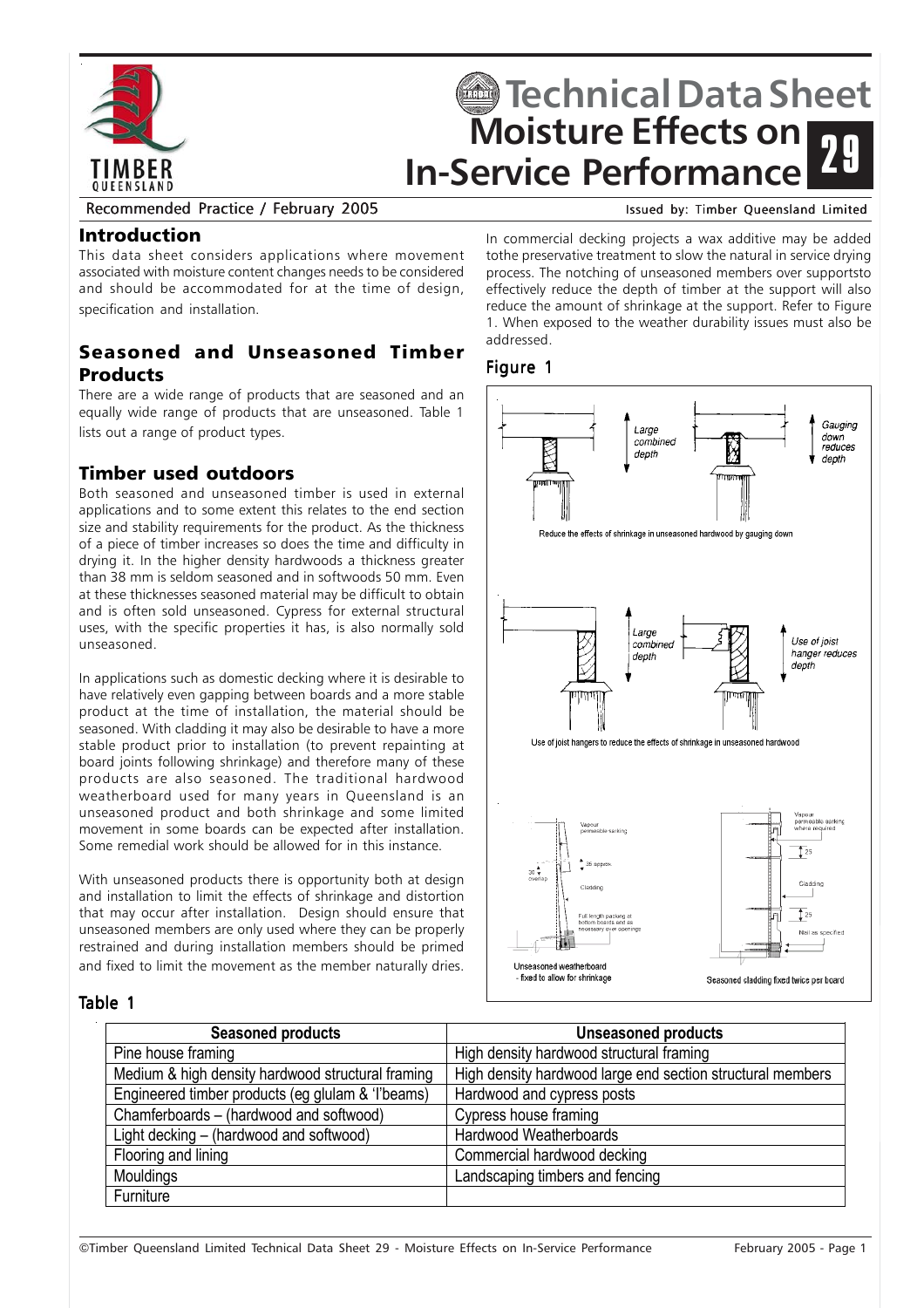

# **Moisture Effects on In-Service Performance Fechnical Data Sheet** 29

#### Recommended Practice / February 2005 Issued by: Timber Queensland Limited

#### Introduction

This data sheet considers applications where movement associated with moisture content changes needs to be considered and should be accommodated for at the time of design, specification and installation.

# Seasoned and Unseasoned Timber Products

There are a wide range of products that are seasoned and an equally wide range of products that are unseasoned. Table 1 lists out a range of product types.

## Timber used outdoors

Both seasoned and unseasoned timber is used in external applications and to some extent this relates to the end section size and stability requirements for the product. As the thickness of a piece of timber increases so does the time and difficulty in drying it. In the higher density hardwoods a thickness greater than 38 mm is seldom seasoned and in softwoods 50 mm. Even at these thicknesses seasoned material may be difficult to obtain and is often sold unseasoned. Cypress for external structural uses, with the specific properties it has, is also normally sold unseasoned.

In applications such as domestic decking where it is desirable to have relatively even gapping between boards and a more stable product at the time of installation, the material should be seasoned. With cladding it may also be desirable to have a more stable product prior to installation (to prevent repainting at board joints following shrinkage) and therefore many of these products are also seasoned. The traditional hardwood weatherboard used for many years in Queensland is an unseasoned product and both shrinkage and some limited movement in some boards can be expected after installation. Some remedial work should be allowed for in this instance.

With unseasoned products there is opportunity both at design and installation to limit the effects of shrinkage and distortion that may occur after installation. Design should ensure that unseasoned members are only used where they can be properly restrained and during installation members should be primed and fixed to limit the movement as the member naturally dries.

In commercial decking projects a wax additive may be added tothe preservative treatment to slow the natural in service drying process. The notching of unseasoned members over supportsto effectively reduce the depth of timber at the support will also reduce the amount of shrinkage at the support. Refer to Figure 1. When exposed to the weather durability issues must also be addressed.

#### Figure 1



#### Table 1

| <b>Seasoned products</b>                          | <b>Unseasoned products</b>                                 |
|---------------------------------------------------|------------------------------------------------------------|
| Pine house framing                                | High density hardwood structural framing                   |
| Medium & high density hardwood structural framing | High density hardwood large end section structural members |
| Engineered timber products (eg glulam & 'l'beams) | Hardwood and cypress posts                                 |
| Chamferboards - (hardwood and softwood)           | Cypress house framing                                      |
| Light decking – (hardwood and softwood)           | Hardwood Weatherboards                                     |
| Flooring and lining                               | Commercial hardwood decking                                |
| Mouldings                                         | Landscaping timbers and fencing                            |
| Furniture                                         |                                                            |